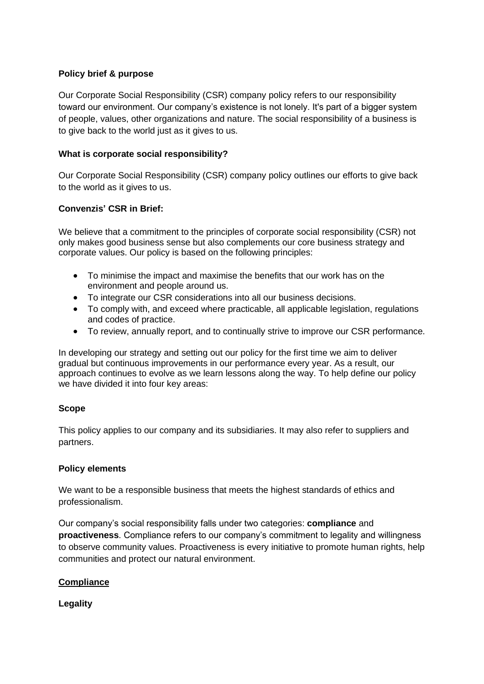## **Policy brief & purpose**

Our Corporate Social Responsibility (CSR) company policy refers to our responsibility toward our environment. Our company's existence is not lonely. It's part of a bigger system of people, values, other organizations and nature. The social responsibility of a business is to give back to the world just as it gives to us.

### **What is corporate social responsibility?**

Our Corporate Social Responsibility (CSR) company policy outlines our efforts to give back to the world as it gives to us.

# **Convenzis' CSR in Brief:**

We believe that a commitment to the principles of corporate social responsibility (CSR) not only makes good business sense but also complements our core business strategy and corporate values. Our policy is based on the following principles:

- To minimise the impact and maximise the benefits that our work has on the environment and people around us.
- To integrate our CSR considerations into all our business decisions.
- To comply with, and exceed where practicable, all applicable legislation, regulations and codes of practice.
- To review, annually report, and to continually strive to improve our CSR performance.

In developing our strategy and setting out our policy for the first time we aim to deliver gradual but continuous improvements in our performance every year. As a result, our approach continues to evolve as we learn lessons along the way. To help define our policy we have divided it into four key areas:

### **Scope**

This policy applies to our company and its subsidiaries. It may also refer to suppliers and partners.

### **Policy elements**

We want to be a responsible business that meets the highest standards of ethics and professionalism.

Our company's social responsibility falls under two categories: **compliance** and **proactiveness**. Compliance refers to our company's commitment to legality and willingness to observe community values. Proactiveness is every initiative to promote human rights, help communities and protect our natural environment.

# **Compliance**

**Legality**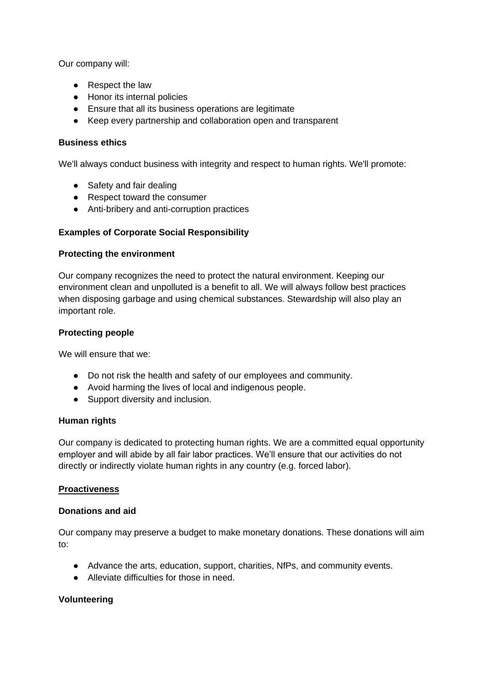Our company will:

- Respect the law
- Honor its internal policies
- Ensure that all its business operations are legitimate
- Keep every partnership and collaboration open and transparent

## **Business ethics**

We'll always conduct business with integrity and respect to human rights. We'll promote:

- Safety and fair dealing
- Respect toward the consumer
- Anti-bribery and anti-corruption practices

## **Examples of Corporate Social Responsibility**

### **Protecting the environment**

Our company recognizes the need to protect the natural environment. Keeping our environment clean and unpolluted is a benefit to all. We will always follow best practices when disposing garbage and using chemical substances. Stewardship will also play an important role.

## **Protecting people**

We will ensure that we:

- Do not risk the health and safety of our employees and community.
- Avoid harming the lives of local and indigenous people.
- Support diversity and inclusion.

### **Human rights**

Our company is dedicated to protecting human rights. We are a committed equal opportunity employer and will abide by all fair labor practices. We'll ensure that our activities do not directly or indirectly violate human rights in any country (e.g. forced labor).

### **Proactiveness**

### **Donations and aid**

Our company may preserve a budget to make monetary donations. These donations will aim to:

- Advance the arts, education, support, charities, NfPs, and community events.
- Alleviate difficulties for those in need

### **Volunteering**